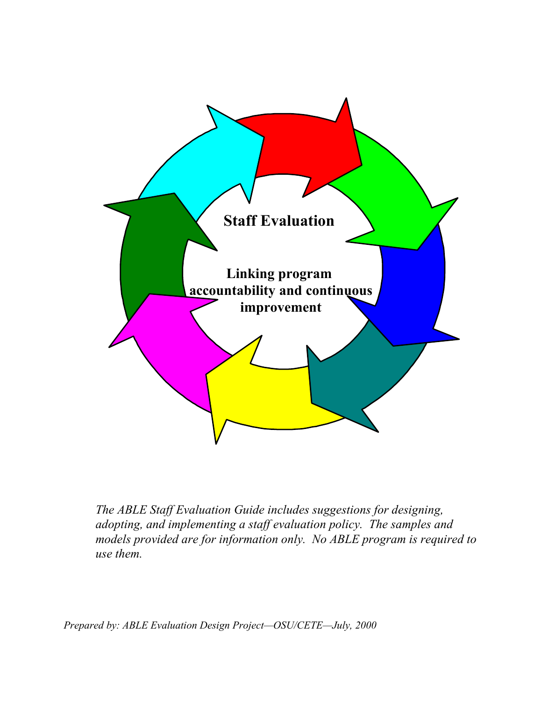

*The ABLE Staff Evaluation Guide includes suggestions for designing, adopting, and implementing a staff evaluation policy. The samples and models provided are for information only. No ABLE program is required to use them.*

*Prepared by: ABLE Evaluation Design Project—OSU/CETE—July, 2000*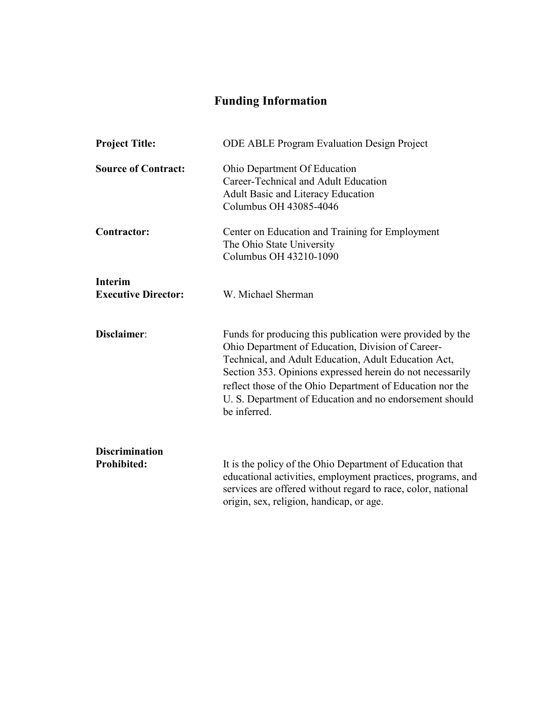# **Funding Information**

| <b>Project Title:</b>                        | <b>ODE ABLE Program Evaluation Design Project</b>                                                                                                                                                                                                                                                                                                                           |
|----------------------------------------------|-----------------------------------------------------------------------------------------------------------------------------------------------------------------------------------------------------------------------------------------------------------------------------------------------------------------------------------------------------------------------------|
| <b>Source of Contract:</b>                   | Ohio Department Of Education<br>Career-Technical and Adult Education<br><b>Adult Basic and Literacy Education</b><br>Columbus OH 43085-4046                                                                                                                                                                                                                                 |
| <b>Contractor:</b>                           | Center on Education and Training for Employment<br>The Ohio State University<br>Columbus OH 43210-1090                                                                                                                                                                                                                                                                      |
| <b>Interim</b><br><b>Executive Director:</b> | W. Michael Sherman                                                                                                                                                                                                                                                                                                                                                          |
| Disclaimer:                                  | Funds for producing this publication were provided by the<br>Ohio Department of Education, Division of Career-<br>Technical, and Adult Education, Adult Education Act,<br>Section 353. Opinions expressed herein do not necessarily<br>reflect those of the Ohio Department of Education nor the<br>U. S. Department of Education and no endorsement should<br>be inferred. |
| <b>Discrimination</b>                        |                                                                                                                                                                                                                                                                                                                                                                             |
| <b>Prohibited:</b>                           | It is the policy of the Ohio Department of Education that<br>educational activities, employment practices, programs, and<br>services are offered without regard to race, color, national<br>origin, sex, religion, handicap, or age.                                                                                                                                        |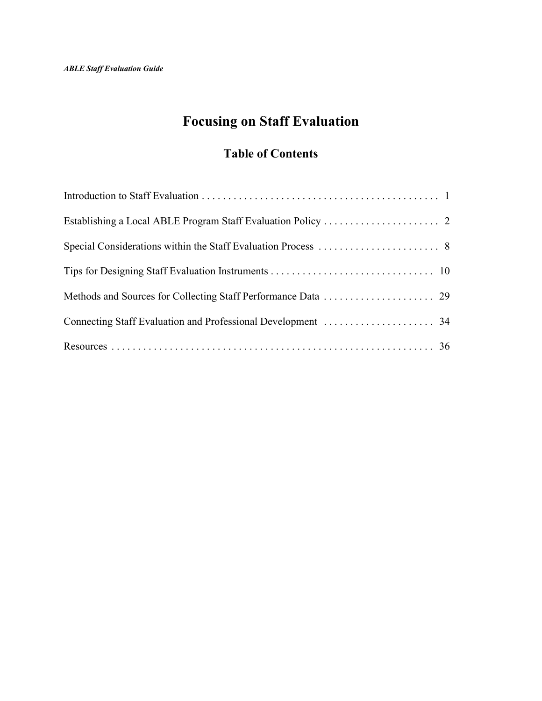# **Focusing on Staff Evaluation**

## **Table of Contents**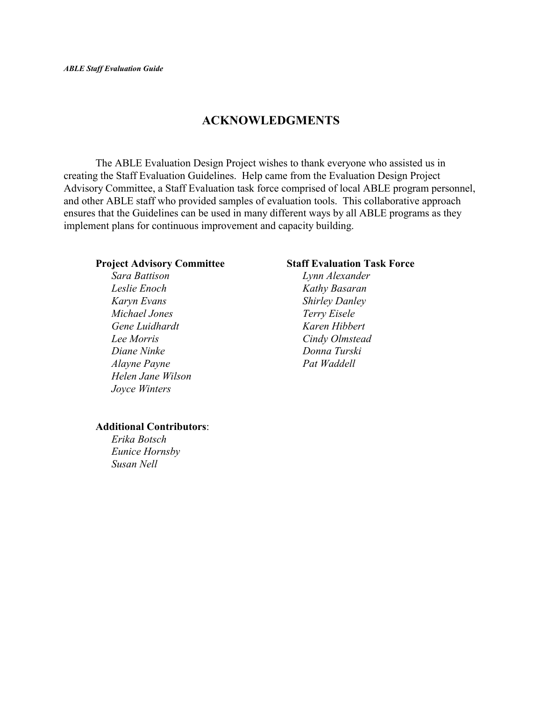### **ACKNOWLEDGMENTS**

The ABLE Evaluation Design Project wishes to thank everyone who assisted us in creating the Staff Evaluation Guidelines. Help came from the Evaluation Design Project Advisory Committee, a Staff Evaluation task force comprised of local ABLE program personnel, and other ABLE staff who provided samples of evaluation tools. This collaborative approach ensures that the Guidelines can be used in many different ways by all ABLE programs as they implement plans for continuous improvement and capacity building.

*Sara Battison Lynn Alexander Leslie Enoch Kathy Basaran Karyn Evans Shirley Danley Michael Jones Terry Eisele Gene Luidhardt Karen Hibbert Lee Morris Cindy Olmstead Diane Ninke Donna Turski Alayne Payne Pat Waddell Helen Jane Wilson Joyce Winters*

#### **Project Advisory Committee Staff Evaluation Task Force**

#### **Additional Contributors**:

*Erika Botsch Eunice Hornsby Susan Nell*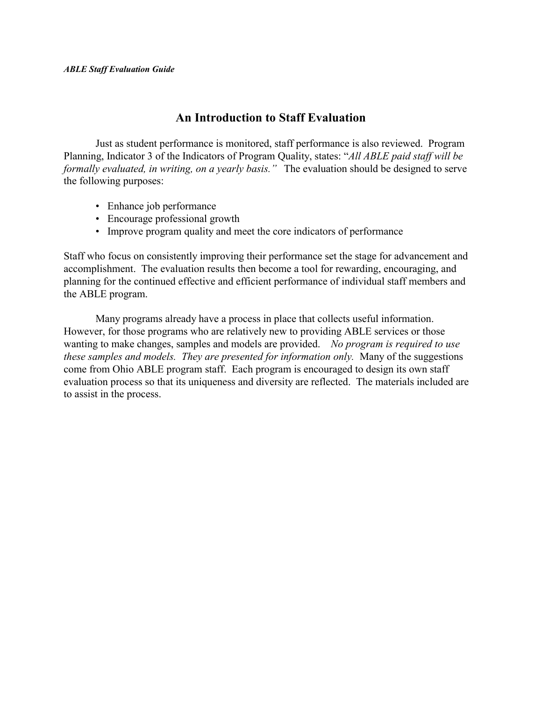### **An Introduction to Staff Evaluation**

Just as student performance is monitored, staff performance is also reviewed. Program Planning, Indicator 3 of the Indicators of Program Quality, states: "*All ABLE paid staff will be formally evaluated, in writing, on a yearly basis."* The evaluation should be designed to serve the following purposes:

- Enhance job performance
- Encourage professional growth
- Improve program quality and meet the core indicators of performance

Staff who focus on consistently improving their performance set the stage for advancement and accomplishment. The evaluation results then become a tool for rewarding, encouraging, and planning for the continued effective and efficient performance of individual staff members and the ABLE program.

Many programs already have a process in place that collects useful information. However, for those programs who are relatively new to providing ABLE services or those wanting to make changes, samples and models are provided. *No program is required to use these samples and models. They are presented for information only.* Many of the suggestions come from Ohio ABLE program staff. Each program is encouraged to design its own staff evaluation process so that its uniqueness and diversity are reflected. The materials included are to assist in the process.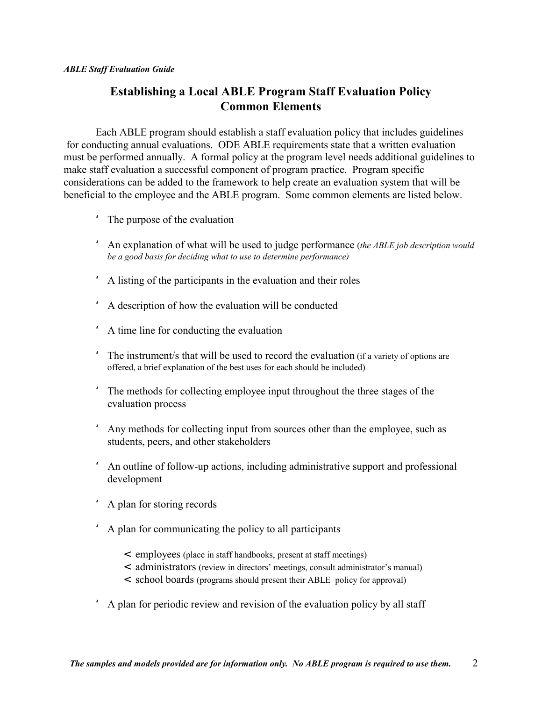### **Establishing a Local ABLE Program Staff Evaluation Policy Common Elements**

Each ABLE program should establish a staff evaluation policy that includes guidelines for conducting annual evaluations. ODE ABLE requirements state that a written evaluation must be performed annually. A formal policy at the program level needs additional guidelines to make staff evaluation a successful component of program practice. Program specific considerations can be added to the framework to help create an evaluation system that will be beneficial to the employee and the ABLE program. Some common elements are listed below.

- ' The purpose of the evaluation
- ' An explanation of what will be used to judge performance (*the ABLE job description would be a good basis for deciding what to use to determine performance)*
- ' A listing of the participants in the evaluation and their roles
- ' A description of how the evaluation will be conducted
- ' A time line for conducting the evaluation
- ' The instrument/s that will be used to record the evaluation (if a variety of options are offered, a brief explanation of the best uses for each should be included)
- ' The methods for collecting employee input throughout the three stages of the evaluation process
- ' Any methods for collecting input from sources other than the employee, such as students, peers, and other stakeholders
- ' An outline of follow-up actions, including administrative support and professional development
- ' A plan for storing records
- ' A plan for communicating the policy to all participants
	- < employees (place in staff handbooks, present at staff meetings)
	- < administrators (review in directors' meetings, consult administrator's manual)
	- < school boards (programs should present their ABLE policy for approval)
- ' A plan for periodic review and revision of the evaluation policy by all staff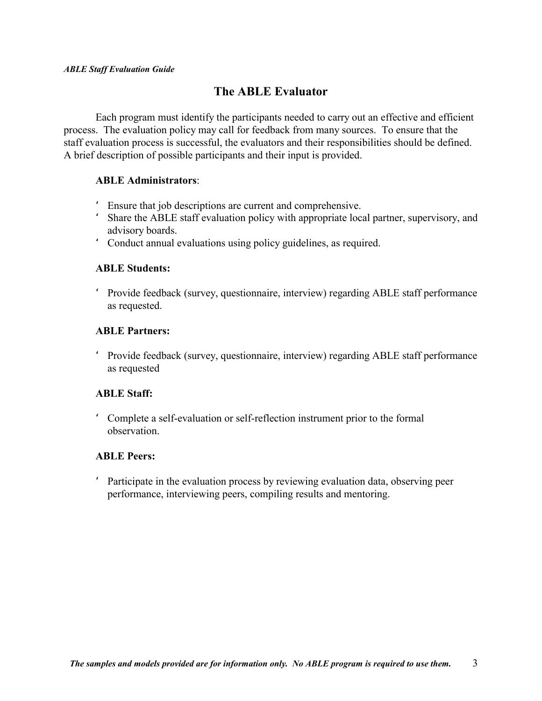### **The ABLE Evaluator**

Each program must identify the participants needed to carry out an effective and efficient process. The evaluation policy may call for feedback from many sources. To ensure that the staff evaluation process is successful, the evaluators and their responsibilities should be defined. A brief description of possible participants and their input is provided.

#### **ABLE Administrators**:

- ' Ensure that job descriptions are current and comprehensive.
- ' Share the ABLE staff evaluation policy with appropriate local partner, supervisory, and advisory boards.
- ' Conduct annual evaluations using policy guidelines, as required.

#### **ABLE Students:**

' Provide feedback (survey, questionnaire, interview) regarding ABLE staff performance as requested.

#### **ABLE Partners:**

' Provide feedback (survey, questionnaire, interview) regarding ABLE staff performance as requested

### **ABLE Staff:**

' Complete a self-evaluation or self-reflection instrument prior to the formal observation.

#### **ABLE Peers:**

' Participate in the evaluation process by reviewing evaluation data, observing peer performance, interviewing peers, compiling results and mentoring.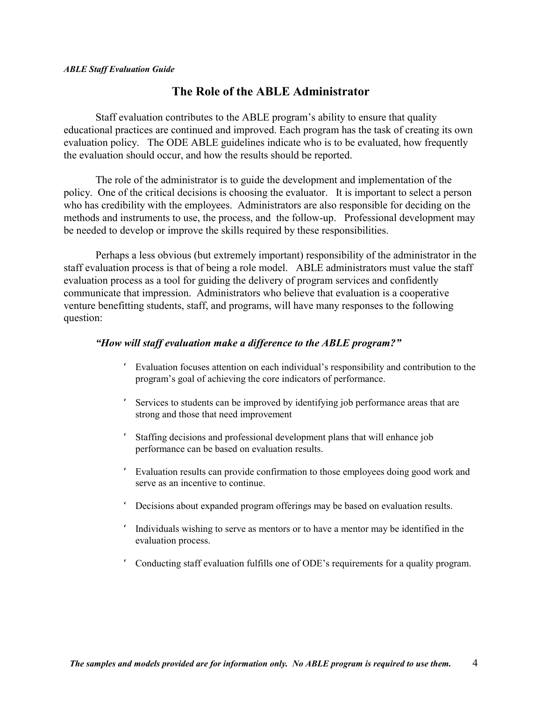### **The Role of the ABLE Administrator**

Staff evaluation contributes to the ABLE program's ability to ensure that quality educational practices are continued and improved. Each program has the task of creating its own evaluation policy. The ODE ABLE guidelines indicate who is to be evaluated, how frequently the evaluation should occur, and how the results should be reported.

The role of the administrator is to guide the development and implementation of the policy. One of the critical decisions is choosing the evaluator. It is important to select a person who has credibility with the employees. Administrators are also responsible for deciding on the methods and instruments to use, the process, and the follow-up. Professional development may be needed to develop or improve the skills required by these responsibilities.

Perhaps a less obvious (but extremely important) responsibility of the administrator in the staff evaluation process is that of being a role model. ABLE administrators must value the staff evaluation process as a tool for guiding the delivery of program services and confidently communicate that impression. Administrators who believe that evaluation is a cooperative venture benefitting students, staff, and programs, will have many responses to the following question:

#### *"How will staff evaluation make a difference to the ABLE program?"*

- Evaluation focuses attention on each individual's responsibility and contribution to the program's goal of achieving the core indicators of performance.
- Services to students can be improved by identifying job performance areas that are strong and those that need improvement
- ' Staffing decisions and professional development plans that will enhance job performance can be based on evaluation results.
- ' Evaluation results can provide confirmation to those employees doing good work and serve as an incentive to continue.
- ' Decisions about expanded program offerings may be based on evaluation results.
- ' Individuals wishing to serve as mentors or to have a mentor may be identified in the evaluation process.
- ' Conducting staff evaluation fulfills one of ODE's requirements for a quality program.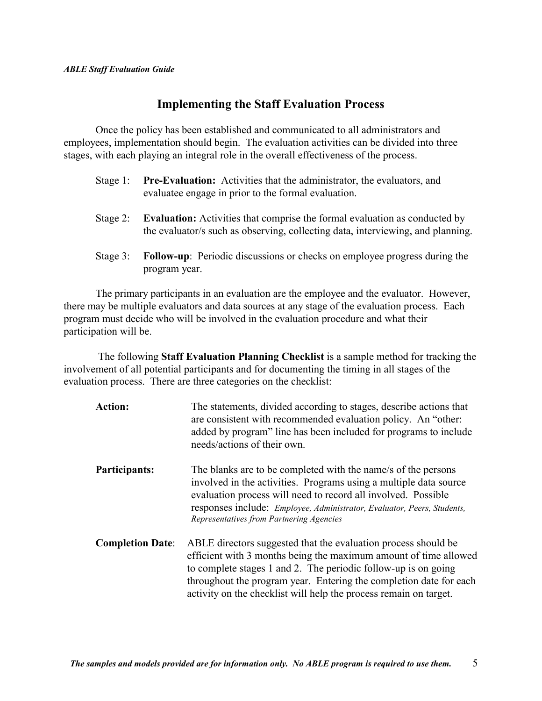### **Implementing the Staff Evaluation Process**

Once the policy has been established and communicated to all administrators and employees, implementation should begin. The evaluation activities can be divided into three stages, with each playing an integral role in the overall effectiveness of the process.

- Stage 1: **Pre-Evaluation:** Activities that the administrator, the evaluators, and evaluatee engage in prior to the formal evaluation.
- Stage 2: **Evaluation:** Activities that comprise the formal evaluation as conducted by the evaluator/s such as observing, collecting data, interviewing, and planning.
- Stage 3: **Follow-up**: Periodic discussions or checks on employee progress during the program year.

The primary participants in an evaluation are the employee and the evaluator. However, there may be multiple evaluators and data sources at any stage of the evaluation process. Each program must decide who will be involved in the evaluation procedure and what their participation will be.

 The following **Staff Evaluation Planning Checklist** is a sample method for tracking the involvement of all potential participants and for documenting the timing in all stages of the evaluation process. There are three categories on the checklist:

| <b>Action:</b>          | The statements, divided according to stages, describe actions that<br>are consistent with recommended evaluation policy. An "other:<br>added by program" line has been included for programs to include<br>needs/actions of their own.                                                                                                          |
|-------------------------|-------------------------------------------------------------------------------------------------------------------------------------------------------------------------------------------------------------------------------------------------------------------------------------------------------------------------------------------------|
| Participants:           | The blanks are to be completed with the name/s of the persons<br>involved in the activities. Programs using a multiple data source<br>evaluation process will need to record all involved. Possible<br>responses include: Employee, Administrator, Evaluator, Peers, Students,<br>Representatives from Partnering Agencies                      |
| <b>Completion Date:</b> | ABLE directors suggested that the evaluation process should be<br>efficient with 3 months being the maximum amount of time allowed<br>to complete stages 1 and 2. The periodic follow-up is on going<br>throughout the program year. Entering the completion date for each<br>activity on the checklist will help the process remain on target. |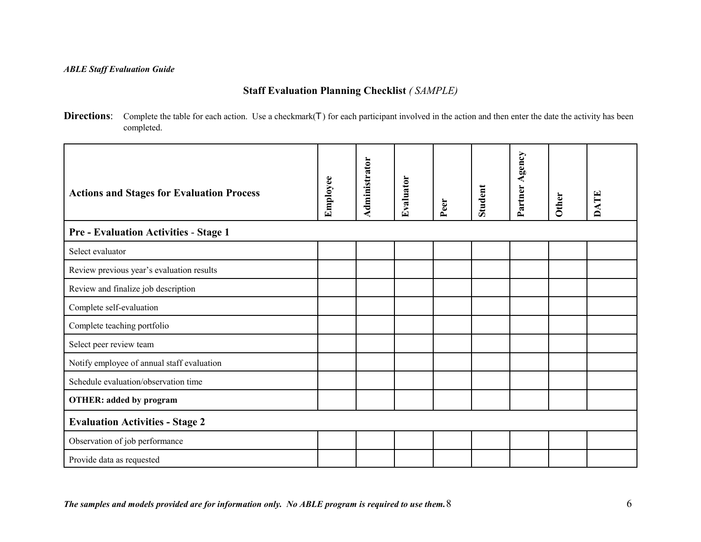### **Staff Evaluation Planning Checklist** *( SAMPLE)*

**Directions**: Complete the table for each action. Use a checkmark( $T$ ) for each participant involved in the action and then enter the date the activity has been completed.

| <b>Actions and Stages for Evaluation Process</b> | Employee | Administrator | Evaluator | Peer | <b>Student</b> | Partner Agency | Other | <b>DATE</b> |
|--------------------------------------------------|----------|---------------|-----------|------|----------------|----------------|-------|-------------|
| <b>Pre - Evaluation Activities - Stage 1</b>     |          |               |           |      |                |                |       |             |
| Select evaluator                                 |          |               |           |      |                |                |       |             |
| Review previous year's evaluation results        |          |               |           |      |                |                |       |             |
| Review and finalize job description              |          |               |           |      |                |                |       |             |
| Complete self-evaluation                         |          |               |           |      |                |                |       |             |
| Complete teaching portfolio                      |          |               |           |      |                |                |       |             |
| Select peer review team                          |          |               |           |      |                |                |       |             |
| Notify employee of annual staff evaluation       |          |               |           |      |                |                |       |             |
| Schedule evaluation/observation time             |          |               |           |      |                |                |       |             |
| <b>OTHER: added by program</b>                   |          |               |           |      |                |                |       |             |
| <b>Evaluation Activities - Stage 2</b>           |          |               |           |      |                |                |       |             |
| Observation of job performance                   |          |               |           |      |                |                |       |             |
| Provide data as requested                        |          |               |           |      |                |                |       |             |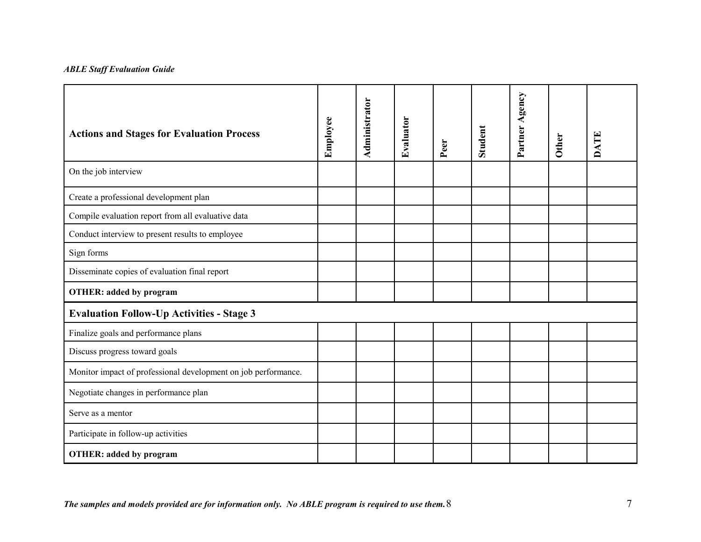| <b>Actions and Stages for Evaluation Process</b>               | Employee | Administrator | Evaluator | Peer | Student | Partner Agency | <b>Other</b> | <b>DATE</b> |
|----------------------------------------------------------------|----------|---------------|-----------|------|---------|----------------|--------------|-------------|
| On the job interview                                           |          |               |           |      |         |                |              |             |
| Create a professional development plan                         |          |               |           |      |         |                |              |             |
| Compile evaluation report from all evaluative data             |          |               |           |      |         |                |              |             |
| Conduct interview to present results to employee               |          |               |           |      |         |                |              |             |
| Sign forms                                                     |          |               |           |      |         |                |              |             |
| Disseminate copies of evaluation final report                  |          |               |           |      |         |                |              |             |
| <b>OTHER: added by program</b>                                 |          |               |           |      |         |                |              |             |
| <b>Evaluation Follow-Up Activities - Stage 3</b>               |          |               |           |      |         |                |              |             |
| Finalize goals and performance plans                           |          |               |           |      |         |                |              |             |
| Discuss progress toward goals                                  |          |               |           |      |         |                |              |             |
| Monitor impact of professional development on job performance. |          |               |           |      |         |                |              |             |
| Negotiate changes in performance plan                          |          |               |           |      |         |                |              |             |
| Serve as a mentor                                              |          |               |           |      |         |                |              |             |
| Participate in follow-up activities                            |          |               |           |      |         |                |              |             |
| <b>OTHER: added by program</b>                                 |          |               |           |      |         |                |              |             |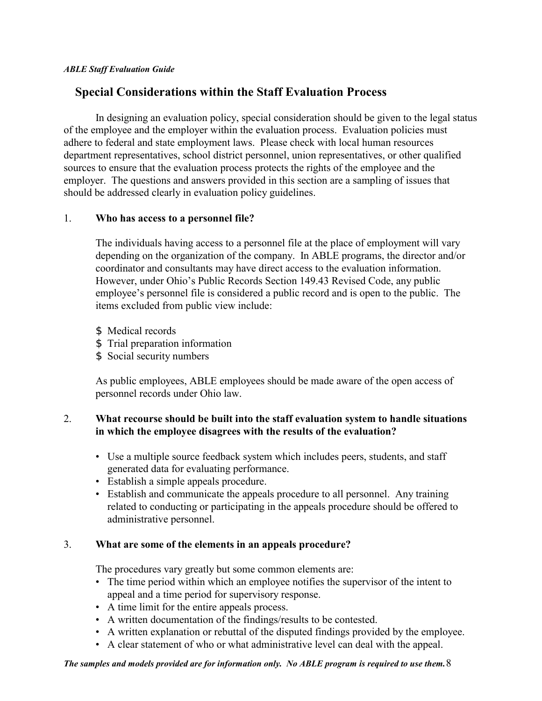### **Special Considerations within the Staff Evaluation Process**

In designing an evaluation policy, special consideration should be given to the legal status of the employee and the employer within the evaluation process. Evaluation policies must adhere to federal and state employment laws. Please check with local human resources department representatives, school district personnel, union representatives, or other qualified sources to ensure that the evaluation process protects the rights of the employee and the employer. The questions and answers provided in this section are a sampling of issues that should be addressed clearly in evaluation policy guidelines.

#### 1. **Who has access to a personnel file?**

The individuals having access to a personnel file at the place of employment will vary depending on the organization of the company. In ABLE programs, the director and/or coordinator and consultants may have direct access to the evaluation information. However, under Ohio's Public Records Section 149.43 Revised Code, any public employee's personnel file is considered a public record and is open to the public. The items excluded from public view include:

- \$ Medical records
- \$ Trial preparation information
- \$ Social security numbers

As public employees, ABLE employees should be made aware of the open access of personnel records under Ohio law.

### 2. **What recourse should be built into the staff evaluation system to handle situations in which the employee disagrees with the results of the evaluation?**

- Use a multiple source feedback system which includes peers, students, and staff generated data for evaluating performance.
- Establish a simple appeals procedure.
- Establish and communicate the appeals procedure to all personnel. Any training related to conducting or participating in the appeals procedure should be offered to administrative personnel.

### 3. **What are some of the elements in an appeals procedure?**

The procedures vary greatly but some common elements are:

- The time period within which an employee notifies the supervisor of the intent to appeal and a time period for supervisory response.
- A time limit for the entire appeals process.
- A written documentation of the findings/results to be contested.
- A written explanation or rebuttal of the disputed findings provided by the employee.
- A clear statement of who or what administrative level can deal with the appeal.

*The samples and models provided are for information only. No ABLE program is required to use them.*8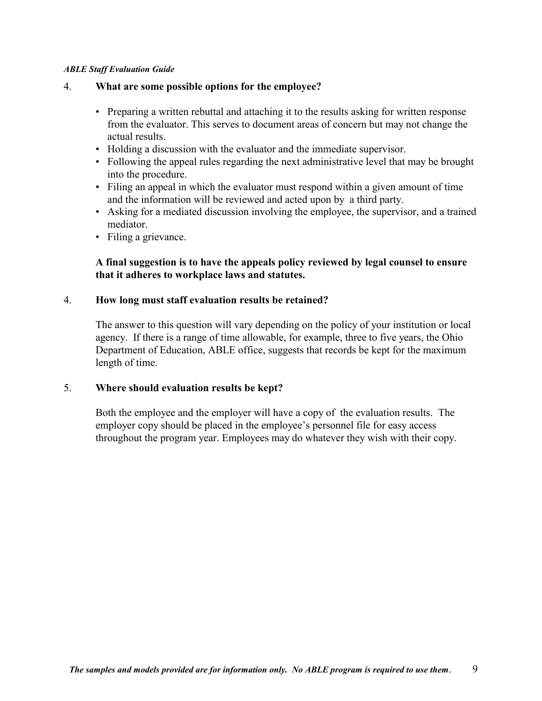#### 4. **What are some possible options for the employee?**

- Preparing a written rebuttal and attaching it to the results asking for written response from the evaluator. This serves to document areas of concern but may not change the actual results.
- Holding a discussion with the evaluator and the immediate supervisor.
- Following the appeal rules regarding the next administrative level that may be brought into the procedure.
- Filing an appeal in which the evaluator must respond within a given amount of time and the information will be reviewed and acted upon by a third party.
- Asking for a mediated discussion involving the employee, the supervisor, and a trained mediator.
- Filing a grievance.

### **A final suggestion is to have the appeals policy reviewed by legal counsel to ensure that it adheres to workplace laws and statutes.**

#### 4. **How long must staff evaluation results be retained?**

The answer to this question will vary depending on the policy of your institution or local agency. If there is a range of time allowable, for example, three to five years, the Ohio Department of Education, ABLE office, suggests that records be kept for the maximum length of time.

#### 5. **Where should evaluation results be kept?**

Both the employee and the employer will have a copy of the evaluation results. The employer copy should be placed in the employee's personnel file for easy access throughout the program year. Employees may do whatever they wish with their copy.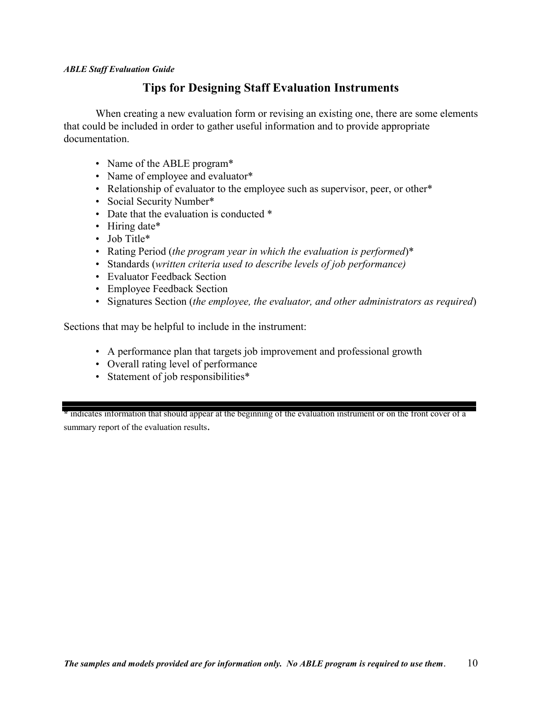### **Tips for Designing Staff Evaluation Instruments**

When creating a new evaluation form or revising an existing one, there are some elements that could be included in order to gather useful information and to provide appropriate documentation.

- Name of the ABLE program\*
- Name of employee and evaluator\*
- Relationship of evaluator to the employee such as supervisor, peer, or other\*
- Social Security Number\*
- Date that the evaluation is conducted  $*$
- Hiring date\*
- Job Title\*
- Rating Period (*the program year in which the evaluation is performed*)\*
- Standards (*written criteria used to describe levels of job performance)*
- Evaluator Feedback Section
- Employee Feedback Section
- Signatures Section (*the employee, the evaluator, and other administrators as required*)

Sections that may be helpful to include in the instrument:

- A performance plan that targets job improvement and professional growth
- Overall rating level of performance
- Statement of job responsibilities\*

**\*** indicates information that should appear at the beginning of the evaluation instrument or on the front cover of a summary report of the evaluation results.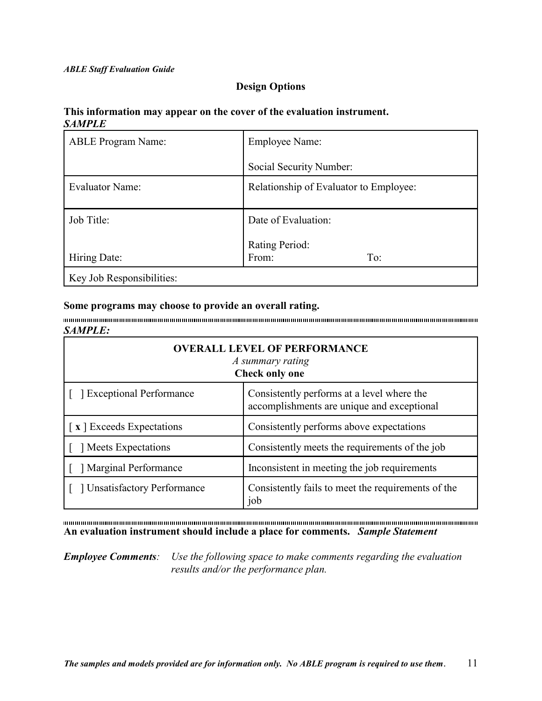#### **Design Options**

#### **This information may appear on the cover of the evaluation instrument.** *SAMPLE*

| <b>ABLE Program Name:</b> | Employee Name:                         |
|---------------------------|----------------------------------------|
|                           | Social Security Number:                |
| <b>Evaluator Name:</b>    | Relationship of Evaluator to Employee: |
|                           |                                        |
| Job Title:                | Date of Evaluation:                    |
|                           | Rating Period:                         |
| Hiring Date:              | From:<br>To:                           |
| Key Job Responsibilities: |                                        |

#### **Some programs may choose to provide an overall rating.**

*SAMPLE:*

| <b>OVERALL LEVEL OF PERFORMANCE</b><br>A summary rating<br><b>Check only one</b> |                                                                                          |  |  |
|----------------------------------------------------------------------------------|------------------------------------------------------------------------------------------|--|--|
| <b>Exceptional Performance</b>                                                   | Consistently performs at a level where the<br>accomplishments are unique and exceptional |  |  |
| [x] Exceeds Expectations                                                         | Consistently performs above expectations                                                 |  |  |
| Meets Expectations                                                               | Consistently meets the requirements of the job                                           |  |  |
| <b>Marginal Performance</b>                                                      | Inconsistent in meeting the job requirements                                             |  |  |
| <b>Unsatisfactory Performance</b>                                                | Consistently fails to meet the requirements of the<br>job                                |  |  |

 $\label{prop:main} The maximum number of minimum minimum minimum number of samples are shown in the other hand, the number of samples are shown in the other hand, the number of samples are shown in the other hand, the number of samples are shown in the other hand, the number of samples are shown in the other hand, the number of samples are shown in the other hand, the number of samples are shown in the other hand, the number of samples are shown in the other hand, the number of samples are shown in the other hand, the number of samples are shown in the other hand, the number of samples are shown in the other hand, the number of samples are shown in the other hand, the number of samples are shown in the other hand, the number of samples are shown in the other hand, the number of samples are shown in the other hand, the number of samples are shown in the other hand, the number of samples are shown in the other hand, the number of samples are shown in the other hand, the number of samples are shown in the other$ **An evaluation instrument should include a place for comments.** *Sample Statement*

*Employee Comments: Use the following space to make comments regarding the evaluation results and/or the performance plan.*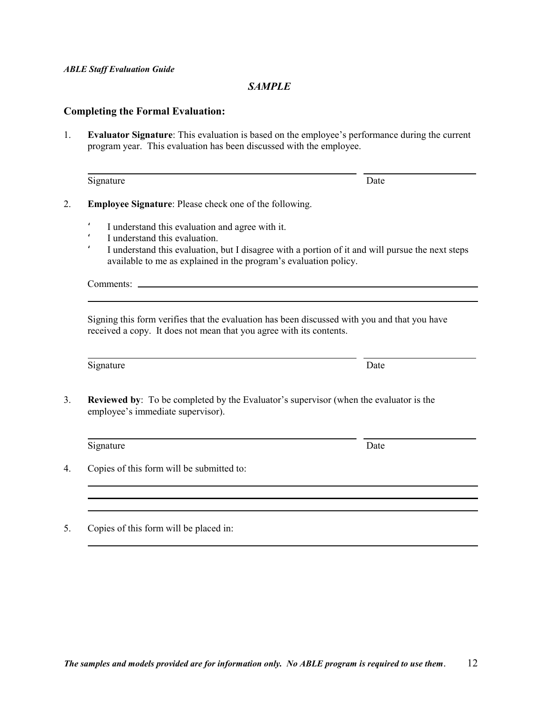#### *SAMPLE*

#### **Completing the Formal Evaluation:**

1. **Evaluator Signature**: This evaluation is based on the employee's performance during the current program year. This evaluation has been discussed with the employee.

| Signature | Date |
|-----------|------|
|-----------|------|

- 2. **Employee Signature**: Please check one of the following.
	- ' I understand this evaluation and agree with it.
	- I understand this evaluation.
	- I understand this evaluation, but I disagree with a portion of it and will pursue the next steps available to me as explained in the program's evaluation policy.

Comments:

l

Signing this form verifies that the evaluation has been discussed with you and that you have received a copy. It does not mean that you agree with its contents.

Signature Date

l

3. **Reviewed by**: To be completed by the Evaluator's supervisor (when the evaluator is the employee's immediate supervisor).

l Signature Date

4. Copies of this form will be submitted to:

5. Copies of this form will be placed in: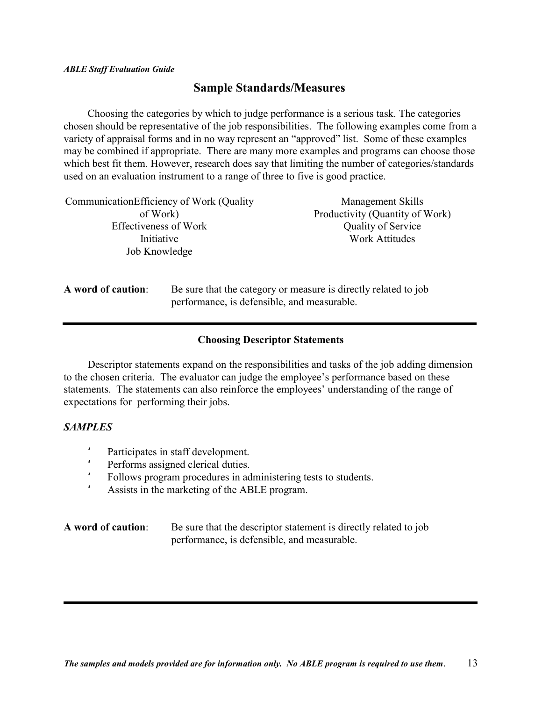### **Sample Standards/Measures**

Choosing the categories by which to judge performance is a serious task. The categories chosen should be representative of the job responsibilities. The following examples come from a variety of appraisal forms and in no way represent an "approved" list. Some of these examples may be combined if appropriate. There are many more examples and programs can choose those which best fit them. However, research does say that limiting the number of categories/standards used on an evaluation instrument to a range of three to five is good practice.

| Communication Efficiency of Work (Quality |  | Management Skills                                               |  |  |  |  |  |
|-------------------------------------------|--|-----------------------------------------------------------------|--|--|--|--|--|
| of Work)                                  |  | Productivity (Quantity of Work)                                 |  |  |  |  |  |
| <b>Effectiveness of Work</b>              |  | <b>Quality of Service</b>                                       |  |  |  |  |  |
| Initiative                                |  | <b>Work Attitudes</b>                                           |  |  |  |  |  |
| Job Knowledge                             |  |                                                                 |  |  |  |  |  |
|                                           |  |                                                                 |  |  |  |  |  |
| A word of caution:                        |  | Be sure that the category or measure is directly related to job |  |  |  |  |  |

**A word of caution**: Be sure that the category or measure is directly related to job performance, is defensible, and measurable.

#### **Choosing Descriptor Statements**

Descriptor statements expand on the responsibilities and tasks of the job adding dimension to the chosen criteria. The evaluator can judge the employee's performance based on these statements. The statements can also reinforce the employees' understanding of the range of expectations for performing their jobs.

#### *SAMPLES*

- ' Participates in staff development.<br>Performs assigned clerical duties
- Performs assigned clerical duties.
- ' Follows program procedures in administering tests to students.
- ' Assists in the marketing of the ABLE program.

**A word of caution**: Be sure that the descriptor statement is directly related to job performance, is defensible, and measurable.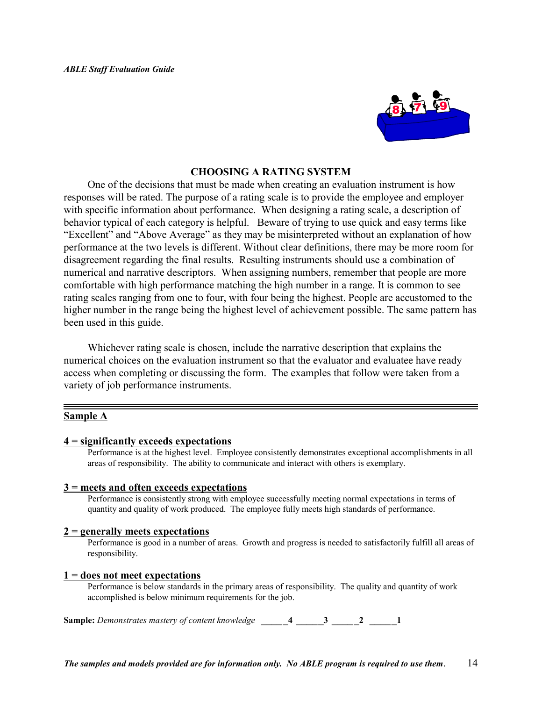

#### **CHOOSING A RATING SYSTEM**

One of the decisions that must be made when creating an evaluation instrument is how responses will be rated. The purpose of a rating scale is to provide the employee and employer with specific information about performance. When designing a rating scale, a description of behavior typical of each category is helpful. Beware of trying to use quick and easy terms like "Excellent" and "Above Average" as they may be misinterpreted without an explanation of how performance at the two levels is different. Without clear definitions, there may be more room for disagreement regarding the final results. Resulting instruments should use a combination of numerical and narrative descriptors. When assigning numbers, remember that people are more comfortable with high performance matching the high number in a range. It is common to see rating scales ranging from one to four, with four being the highest. People are accustomed to the higher number in the range being the highest level of achievement possible. The same pattern has been used in this guide.

Whichever rating scale is chosen, include the narrative description that explains the numerical choices on the evaluation instrument so that the evaluator and evaluatee have ready access when completing or discussing the form. The examples that follow were taken from a variety of job performance instruments.

#### **Sample A**

#### **4 = significantly exceeds expectations**

Performance is at the highest level. Employee consistently demonstrates exceptional accomplishments in all areas of responsibility. The ability to communicate and interact with others is exemplary.

#### **3 = meets and often exceeds expectations**

Performance is consistently strong with employee successfully meeting normal expectations in terms of quantity and quality of work produced. The employee fully meets high standards of performance.

#### **2 = generally meets expectations**

Performance is good in a number of areas. Growth and progress is needed to satisfactorily fulfill all areas of responsibility.

#### **1 = does not meet expectations**

Performance is below standards in the primary areas of responsibility. The quality and quantity of work accomplished is below minimum requirements for the job.

**Sample:** *Demonstrates mastery of content knowledge \_\_\_\_***\_4** *\_\_\_\_***\_3** *\_\_\_\_***\_2** *\_\_\_\_***\_1**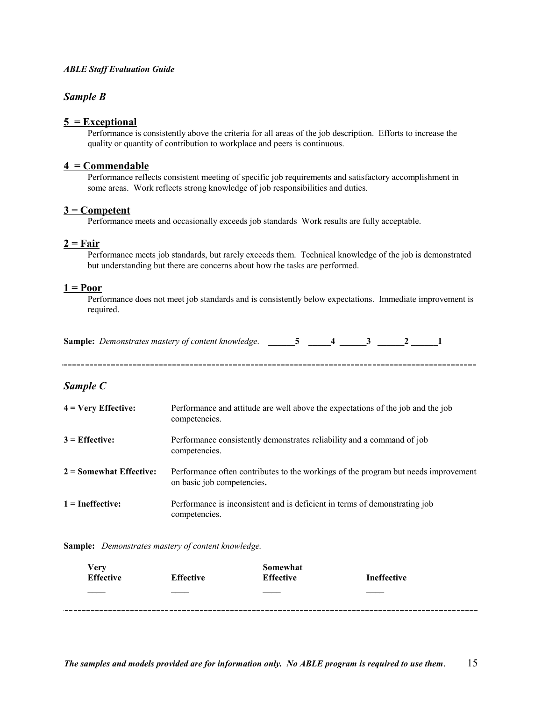#### *Sample B*

#### **5 = Exceptional**

Performance is consistently above the criteria for all areas of the job description. Efforts to increase the quality or quantity of contribution to workplace and peers is continuous.

#### **4 = Commendable**

Performance reflects consistent meeting of specific job requirements and satisfactory accomplishment in some areas. Work reflects strong knowledge of job responsibilities and duties.

#### **3 = Competent**

Performance meets and occasionally exceeds job standards Work results are fully acceptable.

#### **2 = Fair**

Performance meets job standards, but rarely exceeds them. Technical knowledge of the job is demonstrated but understanding but there are concerns about how the tasks are performed.

#### **1 = Poor**

Performance does not meet job standards and is consistently below expectations. Immediate improvement is required.

| Sample: Demonstrates mastery of content knowledge. |  |  |  |  |  |
|----------------------------------------------------|--|--|--|--|--|
|----------------------------------------------------|--|--|--|--|--|

#### *Sample C*

|                           | Performance and attitude are well above the expectations of the job and the job<br>competencies.                 |
|---------------------------|------------------------------------------------------------------------------------------------------------------|
| $3$ = Effective:          | Performance consistently demonstrates reliability and a command of job<br>competencies.                          |
| $2 =$ Somewhat Effective: | Performance often contributes to the workings of the program but needs improvement<br>on basic job competencies. |
| $1 =$ Ineffective:        | Performance is inconsistent and is deficient in terms of demonstrating job<br>competencies.                      |

**Sample:** *Demonstrates mastery of content knowledge.*

| Very<br><b>Effective</b> | <b>Effective</b> | Somewhat<br><b>Effective</b> | <b>Ineffective</b> |
|--------------------------|------------------|------------------------------|--------------------|
| ____                     |                  | $\sim$                       |                    |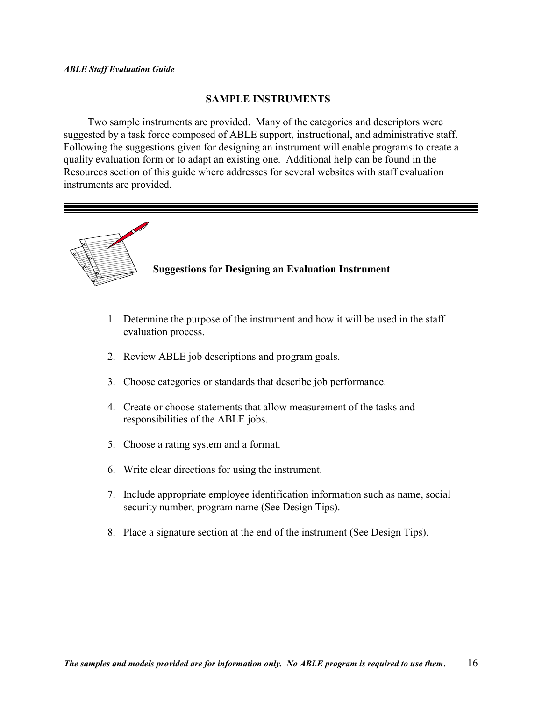#### **SAMPLE INSTRUMENTS**

Two sample instruments are provided. Many of the categories and descriptors were suggested by a task force composed of ABLE support, instructional, and administrative staff. Following the suggestions given for designing an instrument will enable programs to create a quality evaluation form or to adapt an existing one. Additional help can be found in the Resources section of this guide where addresses for several websites with staff evaluation instruments are provided.



- 1. Determine the purpose of the instrument and how it will be used in the staff evaluation process.
- 2. Review ABLE job descriptions and program goals.
- 3. Choose categories or standards that describe job performance.
- 4. Create or choose statements that allow measurement of the tasks and responsibilities of the ABLE jobs.
- 5. Choose a rating system and a format.
- 6. Write clear directions for using the instrument.
- 7. Include appropriate employee identification information such as name, social security number, program name (See Design Tips).
- 8. Place a signature section at the end of the instrument (See Design Tips).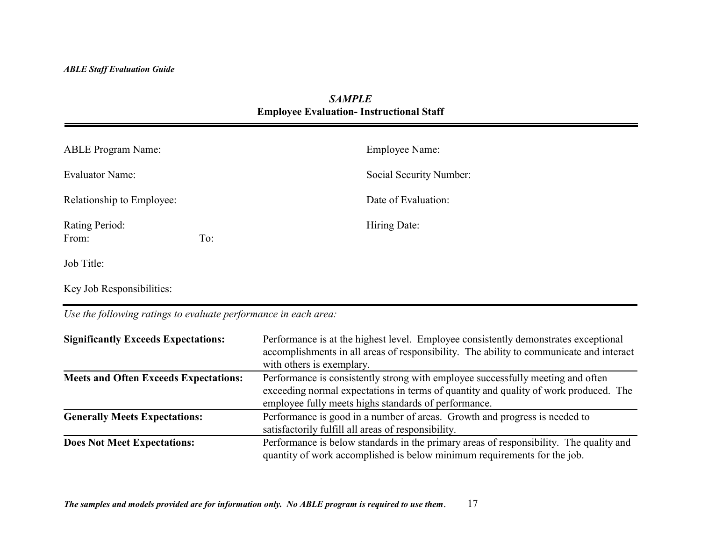### *SAMPLE***Employee Evaluation- Instructional Staff**

| <b>ABLE Program Name:</b> |     | Employee Name:          |
|---------------------------|-----|-------------------------|
| Evaluator Name:           |     | Social Security Number: |
| Relationship to Employee: |     | Date of Evaluation:     |
| Rating Period:<br>From:   | To: | Hiring Date:            |
| $L_2L$ $T_{\rm H}$        |     |                         |

Job Title:

Key Job Responsibilities:

*Use the following ratings to evaluate performance in each area:*

| <b>Significantly Exceeds Expectations:</b>   | Performance is at the highest level. Employee consistently demonstrates exceptional<br>accomplishments in all areas of responsibility. The ability to communicate and interact<br>with others is exemplary.                     |
|----------------------------------------------|---------------------------------------------------------------------------------------------------------------------------------------------------------------------------------------------------------------------------------|
| <b>Meets and Often Exceeds Expectations:</b> | Performance is consistently strong with employee successfully meeting and often<br>exceeding normal expectations in terms of quantity and quality of work produced. The<br>employee fully meets highs standards of performance. |
| <b>Generally Meets Expectations:</b>         | Performance is good in a number of areas. Growth and progress is needed to<br>satisfactorily fulfill all areas of responsibility.                                                                                               |
| <b>Does Not Meet Expectations:</b>           | Performance is below standards in the primary areas of responsibility. The quality and<br>quantity of work accomplished is below minimum requirements for the job.                                                              |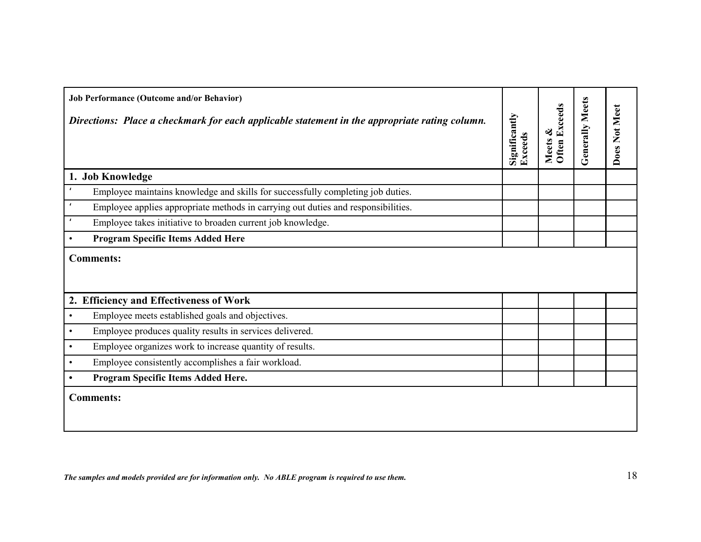| <b>Job Performance (Outcome and/or Behavior)</b><br>Directions: Place a checkmark for each applicable statement in the appropriate rating column. | Significantly<br>Exceeds | <b>Often Exceeds</b><br>Meets & | <b>Generally Meets</b> | Does Not Meet |
|---------------------------------------------------------------------------------------------------------------------------------------------------|--------------------------|---------------------------------|------------------------|---------------|
| 1. Job Knowledge                                                                                                                                  |                          |                                 |                        |               |
| Employee maintains knowledge and skills for successfully completing job duties.                                                                   |                          |                                 |                        |               |
| Employee applies appropriate methods in carrying out duties and responsibilities.                                                                 |                          |                                 |                        |               |
| Employee takes initiative to broaden current job knowledge.                                                                                       |                          |                                 |                        |               |
| <b>Program Specific Items Added Here</b><br>$\bullet$                                                                                             |                          |                                 |                        |               |
| <b>Comments:</b>                                                                                                                                  |                          |                                 |                        |               |
| 2. Efficiency and Effectiveness of Work                                                                                                           |                          |                                 |                        |               |
| Employee meets established goals and objectives.<br>$\bullet$                                                                                     |                          |                                 |                        |               |
| Employee produces quality results in services delivered.<br>$\bullet$                                                                             |                          |                                 |                        |               |
| Employee organizes work to increase quantity of results.<br>$\bullet$                                                                             |                          |                                 |                        |               |
| Employee consistently accomplishes a fair workload.<br>$\bullet$                                                                                  |                          |                                 |                        |               |
| Program Specific Items Added Here.<br>$\bullet$                                                                                                   |                          |                                 |                        |               |
| <b>Comments:</b>                                                                                                                                  |                          |                                 |                        |               |

*The samples and models provided are for information only. No ABLE program is required to use them.*  $18$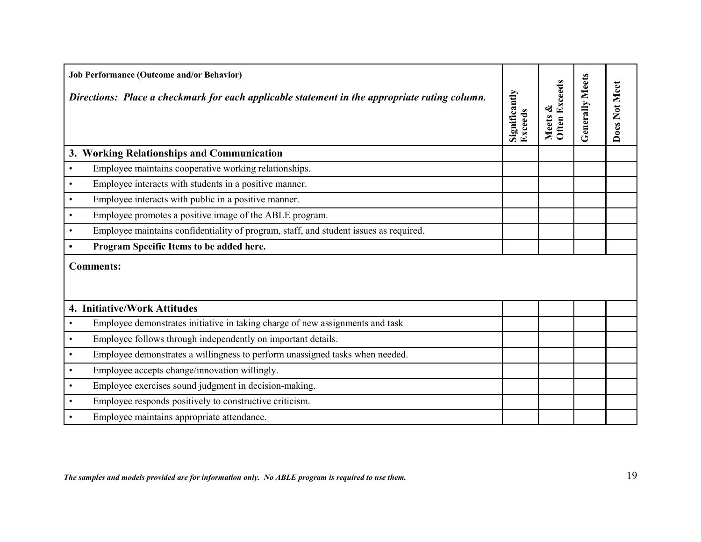|           | <b>Job Performance (Outcome and/or Behavior)</b><br>Directions: Place a checkmark for each applicable statement in the appropriate rating column. | Significantly<br>Exceeds | Often Exceeds<br>Meets & | Generally Meets | Does Not Meet |
|-----------|---------------------------------------------------------------------------------------------------------------------------------------------------|--------------------------|--------------------------|-----------------|---------------|
|           | 3. Working Relationships and Communication                                                                                                        |                          |                          |                 |               |
| $\bullet$ | Employee maintains cooperative working relationships.                                                                                             |                          |                          |                 |               |
| $\bullet$ | Employee interacts with students in a positive manner.                                                                                            |                          |                          |                 |               |
| $\bullet$ | Employee interacts with public in a positive manner.                                                                                              |                          |                          |                 |               |
| $\bullet$ | Employee promotes a positive image of the ABLE program.                                                                                           |                          |                          |                 |               |
| $\bullet$ | Employee maintains confidentiality of program, staff, and student issues as required.                                                             |                          |                          |                 |               |
|           | Program Specific Items to be added here.                                                                                                          |                          |                          |                 |               |
|           | <b>Comments:</b>                                                                                                                                  |                          |                          |                 |               |
|           | 4. Initiative/Work Attitudes                                                                                                                      |                          |                          |                 |               |
| $\bullet$ | Employee demonstrates initiative in taking charge of new assignments and task                                                                     |                          |                          |                 |               |
| $\bullet$ | Employee follows through independently on important details.                                                                                      |                          |                          |                 |               |
| $\bullet$ | Employee demonstrates a willingness to perform unassigned tasks when needed.                                                                      |                          |                          |                 |               |
| $\bullet$ | Employee accepts change/innovation willingly.                                                                                                     |                          |                          |                 |               |
| $\bullet$ | Employee exercises sound judgment in decision-making.                                                                                             |                          |                          |                 |               |
| $\bullet$ | Employee responds positively to constructive criticism.                                                                                           |                          |                          |                 |               |
| $\bullet$ | Employee maintains appropriate attendance.                                                                                                        |                          |                          |                 |               |

*The samples and models provided are for information only. No ABLE program is required to use them.*  $19$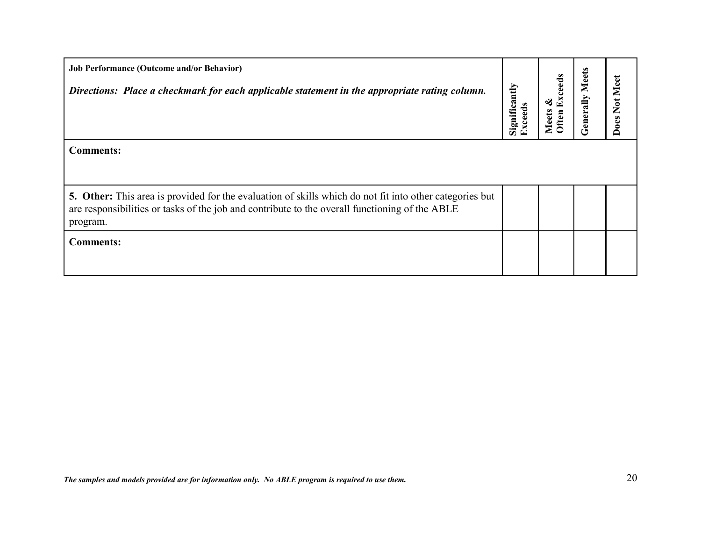| <b>Job Performance (Outcome and/or Behavior)</b><br>Directions: Place a checkmark for each applicable statement in the appropriate rating column.                                                                     | Significantly<br>Exceeds | Exceeds<br>ళ<br>Meets<br>Often | <b>Generally Meets</b> | Does Not Meer |
|-----------------------------------------------------------------------------------------------------------------------------------------------------------------------------------------------------------------------|--------------------------|--------------------------------|------------------------|---------------|
| <b>Comments:</b>                                                                                                                                                                                                      |                          |                                |                        |               |
| 5. Other: This area is provided for the evaluation of skills which do not fit into other categories but<br>are responsibilities or tasks of the job and contribute to the overall functioning of the ABLE<br>program. |                          |                                |                        |               |
| <b>Comments:</b>                                                                                                                                                                                                      |                          |                                |                        |               |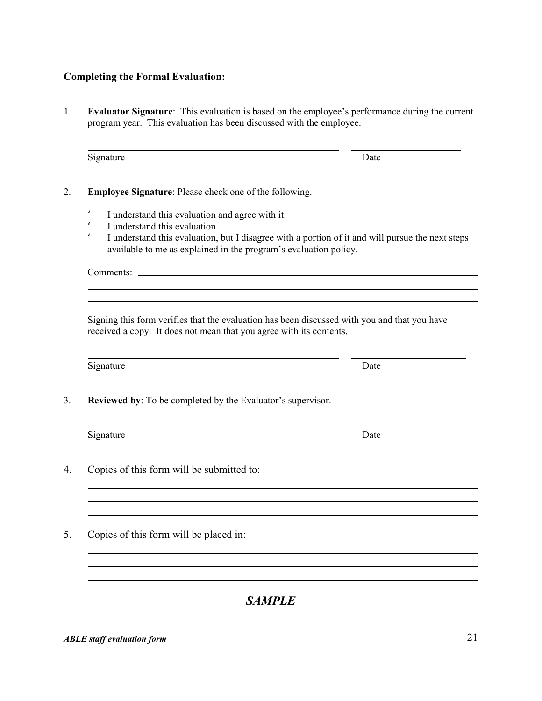#### **Completing the Formal Evaluation:**

1. **Evaluator Signature**: This evaluation is based on the employee's performance during the current program year. This evaluation has been discussed with the employee.

Signature Date

- 2. **Employee Signature**: Please check one of the following.
	- ' I understand this evaluation and agree with it.
	- I understand this evaluation.
	- ' I understand this evaluation, but I disagree with a portion of it and will pursue the next steps available to me as explained in the program's evaluation policy.

Comments:

l

Signing this form verifies that the evaluation has been discussed with you and that you have received a copy. It does not mean that you agree with its contents.

Signature Date

l

l

3. **Reviewed by**: To be completed by the Evaluator's supervisor.

Signature Date

4. Copies of this form will be submitted to:

5. Copies of this form will be placed in:

*SAMPLE*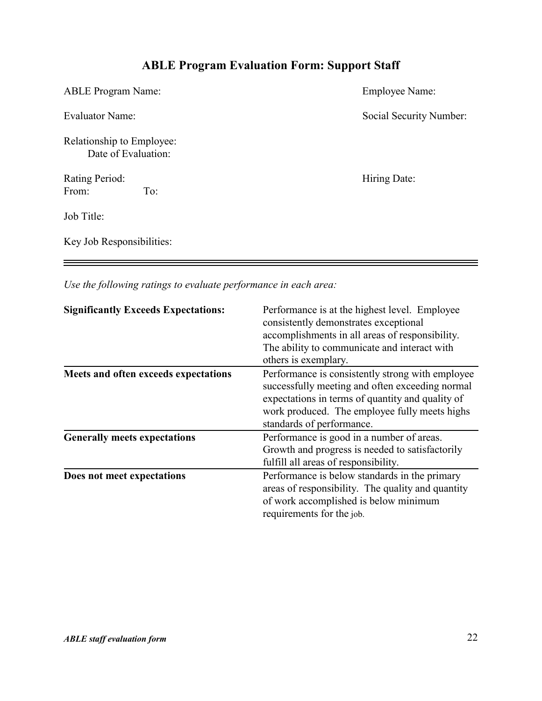# **ABLE Program Evaluation Form: Support Staff**

| <b>ABLE Program Name:</b>                        | Employee Name:          |
|--------------------------------------------------|-------------------------|
| <b>Evaluator Name:</b>                           | Social Security Number: |
| Relationship to Employee:<br>Date of Evaluation: |                         |
| Rating Period:<br>To:<br>From:                   | Hiring Date:            |
| Job Title:                                       |                         |
| Key Job Responsibilities:                        |                         |

*Use the following ratings to evaluate performance in each area:*

| <b>Significantly Exceeds Expectations:</b> | Performance is at the highest level. Employee<br>consistently demonstrates exceptional<br>accomplishments in all areas of responsibility.<br>The ability to communicate and interact with<br>others is exemplary.                     |
|--------------------------------------------|---------------------------------------------------------------------------------------------------------------------------------------------------------------------------------------------------------------------------------------|
| Meets and often exceeds expectations       | Performance is consistently strong with employee<br>successfully meeting and often exceeding normal<br>expectations in terms of quantity and quality of<br>work produced. The employee fully meets highs<br>standards of performance. |
| <b>Generally meets expectations</b>        | Performance is good in a number of areas.<br>Growth and progress is needed to satisfactorily<br>fulfill all areas of responsibility.                                                                                                  |
| Does not meet expectations                 | Performance is below standards in the primary<br>areas of responsibility. The quality and quantity<br>of work accomplished is below minimum<br>requirements for the job.                                                              |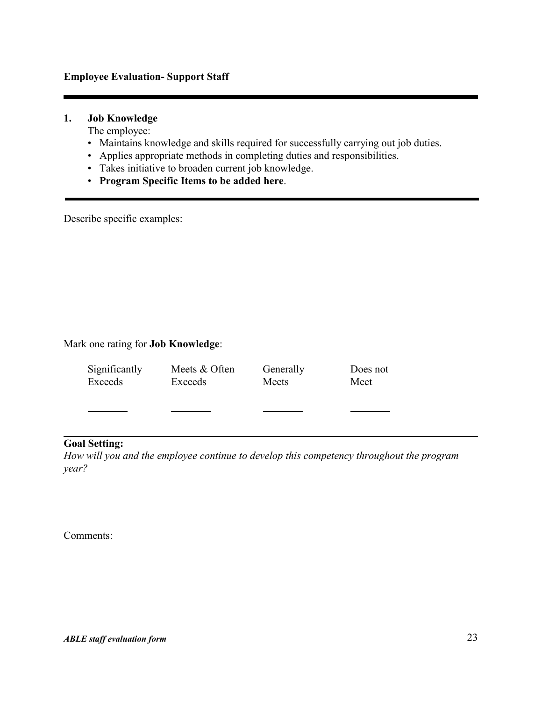#### **Employee Evaluation- Support Staff**

### **1. Job Knowledge**

The employee:

- Maintains knowledge and skills required for successfully carrying out job duties.
- Applies appropriate methods in completing duties and responsibilities.
- Takes initiative to broaden current job knowledge.
- **Program Specific Items to be added here**.

Describe specific examples:

#### Mark one rating for **Job Knowledge**:

| Significantly | Meets & Often | Generally | Does not |
|---------------|---------------|-----------|----------|
| Exceeds       | Exceeds       | Meets     | Meet     |
|               |               |           |          |

#### **Goal Setting:**

*How will you and the employee continue to develop this competency throughout the program year?*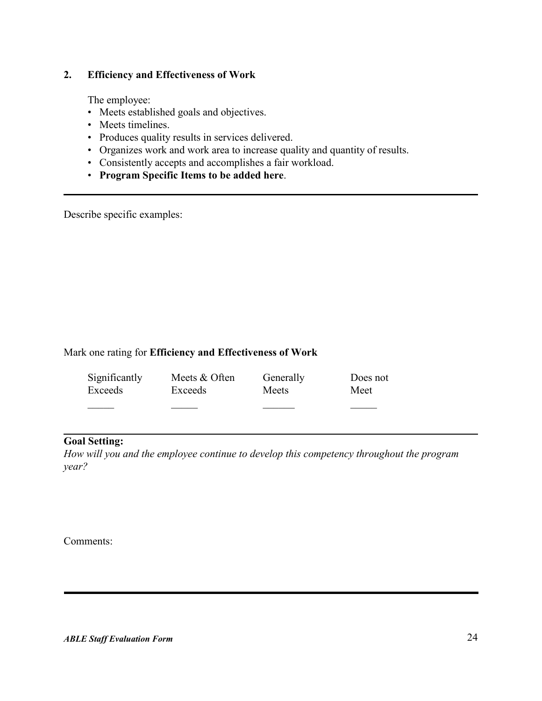#### **2. Efficiency and Effectiveness of Work**

The employee:

- Meets established goals and objectives.
- Meets timelines.
- Produces quality results in services delivered.
- Organizes work and work area to increase quality and quantity of results.
- Consistently accepts and accomplishes a fair workload.
- **Program Specific Items to be added here**.

Describe specific examples:

#### Mark one rating for **Efficiency and Effectiveness of Work**

| Significantly | Meets & Often | Generally | Does not |
|---------------|---------------|-----------|----------|
| Exceeds       | Exceeds       | Meets     | Meet     |
|               |               |           |          |

#### **Goal Setting:**

*How will you and the employee continue to develop this competency throughout the program year?*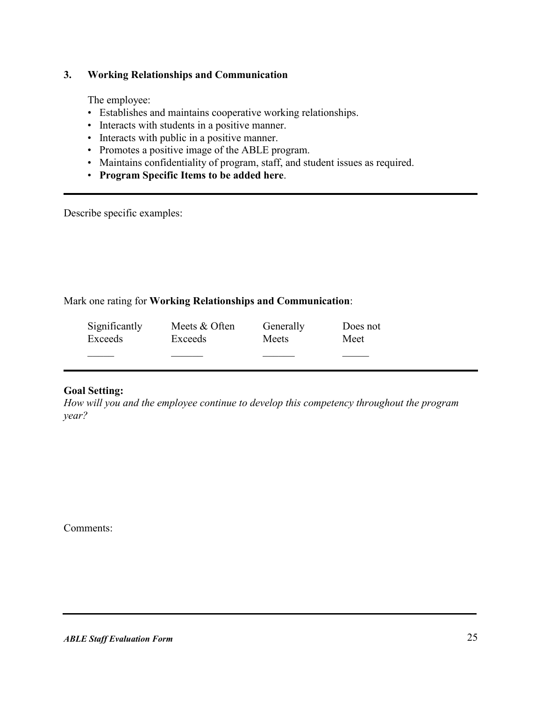### **3. Working Relationships and Communication**

The employee:

- Establishes and maintains cooperative working relationships.
- Interacts with students in a positive manner.
- Interacts with public in a positive manner.
- Promotes a positive image of the ABLE program.
- Maintains confidentiality of program, staff, and student issues as required.
- **Program Specific Items to be added here**.

Describe specific examples:

#### Mark one rating for **Working Relationships and Communication**:

| Significantly | Meets & Often | Generally | Does not |
|---------------|---------------|-----------|----------|
| Exceeds       | Exceeds       | Meets     | Meet     |
|               |               |           |          |

#### **Goal Setting:**

*How will you and the employee continue to develop this competency throughout the program year?*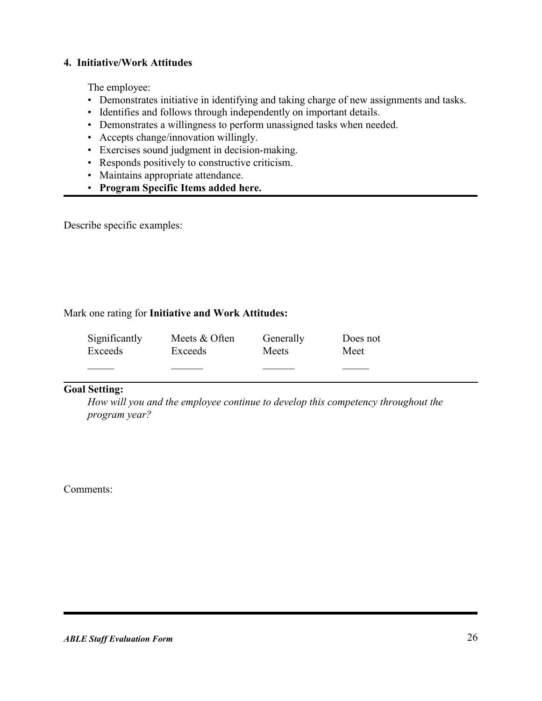### **4. Initiative/Work Attitudes**

The employee:

- Demonstrates initiative in identifying and taking charge of new assignments and tasks.
- Identifies and follows through independently on important details.
- Demonstrates a willingness to perform unassigned tasks when needed.
- Accepts change/innovation willingly.
- Exercises sound judgment in decision-making.
- Responds positively to constructive criticism.
- Maintains appropriate attendance.
- **Program Specific Items added here.**

Describe specific examples:

#### Mark one rating for **Initiative and Work Attitudes:**

| Significantly | Meets & Often | Generally | Does not |
|---------------|---------------|-----------|----------|
| Exceeds       | Exceeds       | Meets     | Meet     |
|               |               |           |          |

#### **Goal Setting:**

*How will you and the employee continue to develop this competency throughout the program year?*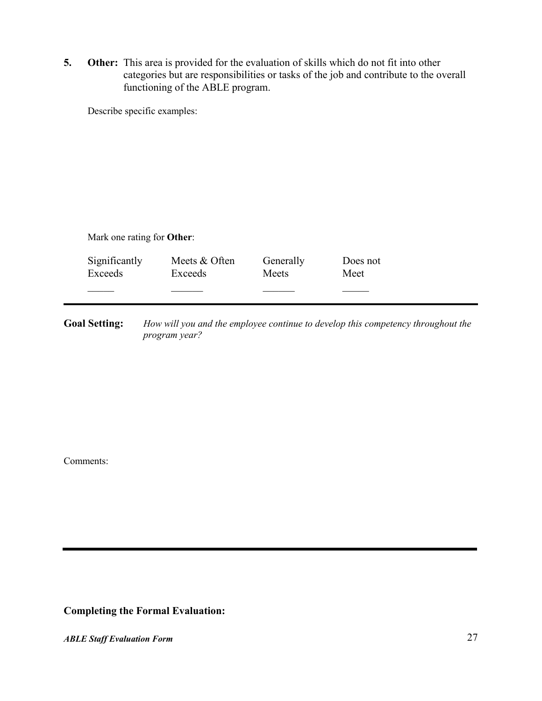**5. Other:** This area is provided for the evaluation of skills which do not fit into other categories but are responsibilities or tasks of the job and contribute to the overall functioning of the ABLE program.

Describe specific examples:

| Mark one rating for <b>Other</b> : |                          |                    |                  |  |  |  |
|------------------------------------|--------------------------|--------------------|------------------|--|--|--|
| Significantly<br>Exceeds           | Meets & Often<br>Exceeds | Generally<br>Meets | Does not<br>Meet |  |  |  |
|                                    |                          |                    |                  |  |  |  |

**Goal Setting:** *How will you and the employee continue to develop this competency throughout the program year?*

Comments:

**Completing the Formal Evaluation:**

*ABLE Staff Evaluation Form* 27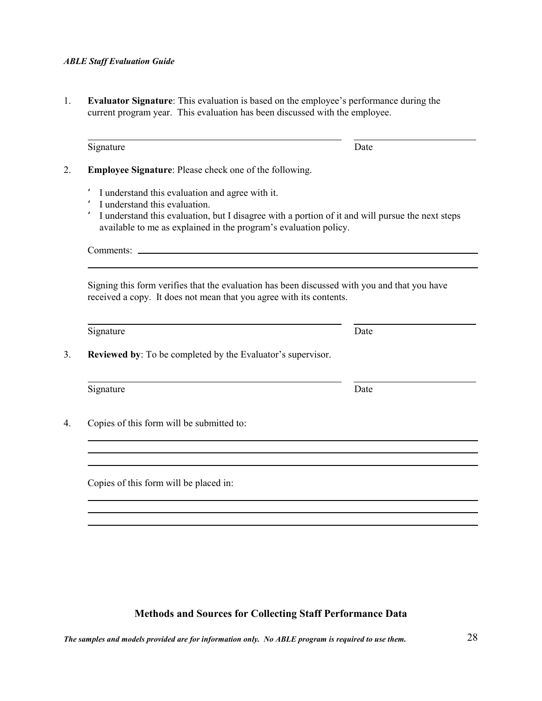1. **Evaluator Signature**: This evaluation is based on the employee's performance during the current program year. This evaluation has been discussed with the employee.

| I understand this evaluation, but I disagree with a portion of it and will pursue the next steps<br>available to me as explained in the program's evaluation policy. |
|----------------------------------------------------------------------------------------------------------------------------------------------------------------------|
| Comments:                                                                                                                                                            |
| Signing this form verifies that the evaluation has been discussed with you and that you have<br>received a copy. It does not mean that you agree with its contents.  |
| Date                                                                                                                                                                 |
| <b>Reviewed by:</b> To be completed by the Evaluator's supervisor.                                                                                                   |
| Date                                                                                                                                                                 |
|                                                                                                                                                                      |
|                                                                                                                                                                      |
|                                                                                                                                                                      |
|                                                                                                                                                                      |
|                                                                                                                                                                      |

### **Methods and Sources for Collecting Staff Performance Data**

*The samples and models provided are for information only. No ABLE program is required to use them.* 28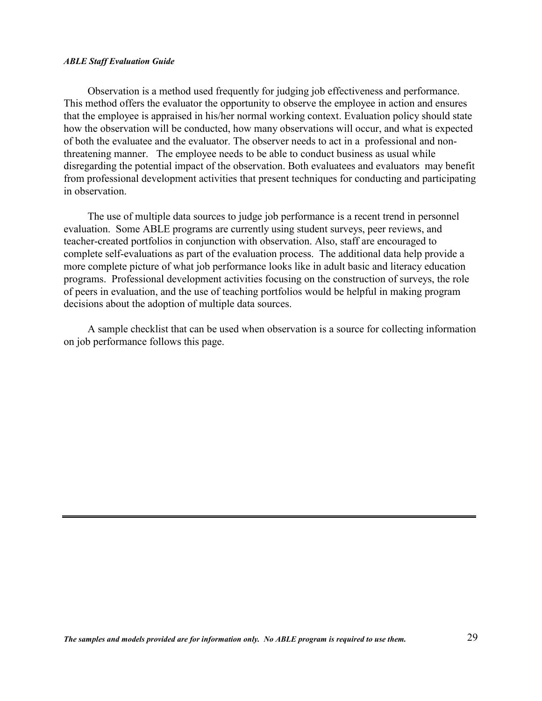Observation is a method used frequently for judging job effectiveness and performance. This method offers the evaluator the opportunity to observe the employee in action and ensures that the employee is appraised in his/her normal working context. Evaluation policy should state how the observation will be conducted, how many observations will occur, and what is expected of both the evaluatee and the evaluator. The observer needs to act in a professional and nonthreatening manner. The employee needs to be able to conduct business as usual while disregarding the potential impact of the observation. Both evaluatees and evaluators may benefit from professional development activities that present techniques for conducting and participating in observation.

The use of multiple data sources to judge job performance is a recent trend in personnel evaluation. Some ABLE programs are currently using student surveys, peer reviews, and teacher-created portfolios in conjunction with observation. Also, staff are encouraged to complete self-evaluations as part of the evaluation process. The additional data help provide a more complete picture of what job performance looks like in adult basic and literacy education programs. Professional development activities focusing on the construction of surveys, the role of peers in evaluation, and the use of teaching portfolios would be helpful in making program decisions about the adoption of multiple data sources.

A sample checklist that can be used when observation is a source for collecting information on job performance follows this page.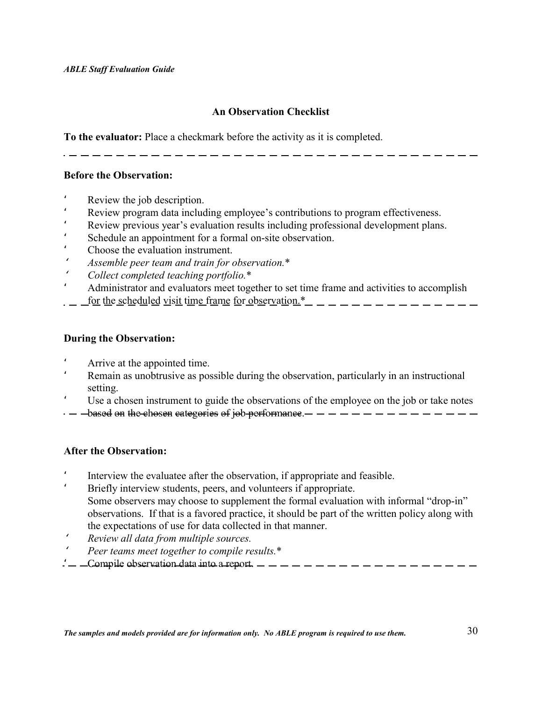### **An Observation Checklist**

**To the evaluator:** Place a checkmark before the activity as it is completed.

#### **Before the Observation:**

- Review the job description.
- ' Review program data including employee's contributions to program effectiveness.
- Review previous year's evaluation results including professional development plans.
- Schedule an appointment for a formal on-site observation.
- ' Choose the evaluation instrument.
- '*Assemble peer team and train for observation.*\*
- '*Collect completed teaching portfolio.*\*
- ' Administrator and evaluators meet together to set time frame and activities to accomplish
- <u>for the scheduled visit time frame for observation.\*</u>

#### **During the Observation:**

- ' Arrive at the appointed time.
- Remain as unobtrusive as possible during the observation, particularly in an instructional setting.
- Use a chosen instrument to guide the observations of the employee on the job or take notes
- based on the chosen categories of job performance.

#### **After the Observation:**

- ' Interview the evaluatee after the observation, if appropriate and feasible.
- Briefly interview students, peers, and volunteers if appropriate. Some observers may choose to supplement the formal evaluation with informal "drop-in" observations. If that is a favored practice, it should be part of the written policy along with the expectations of use for data collected in that manner.
- '*Review all data from multiple sources.*
- '*Peer teams meet together to compile results.*\*
- ' Compile observation data into a report.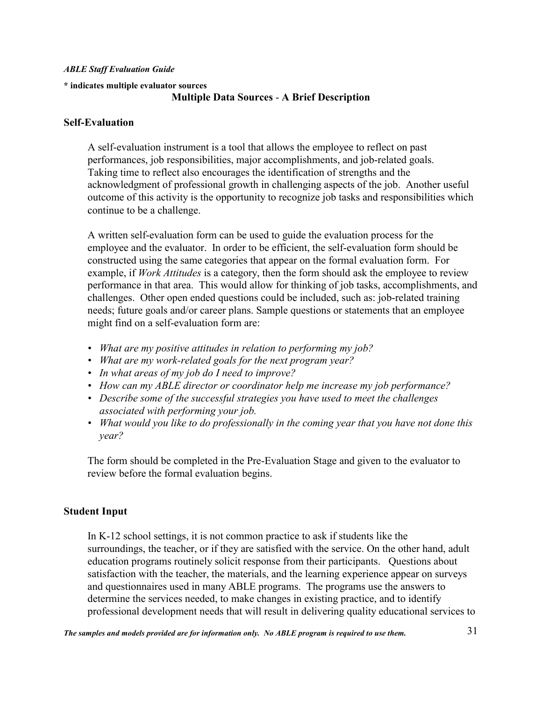#### **\* indicates multiple evaluator sources**

#### **Multiple Data Sources** - **A Brief Description**

#### **Self-Evaluation**

A self-evaluation instrument is a tool that allows the employee to reflect on past performances, job responsibilities, major accomplishments, and job-related goals. Taking time to reflect also encourages the identification of strengths and the acknowledgment of professional growth in challenging aspects of the job. Another useful outcome of this activity is the opportunity to recognize job tasks and responsibilities which continue to be a challenge.

A written self-evaluation form can be used to guide the evaluation process for the employee and the evaluator. In order to be efficient, the self-evaluation form should be constructed using the same categories that appear on the formal evaluation form. For example, if *Work Attitudes* is a category, then the form should ask the employee to review performance in that area. This would allow for thinking of job tasks, accomplishments, and challenges. Other open ended questions could be included, such as: job-related training needs; future goals and/or career plans. Sample questions or statements that an employee might find on a self-evaluation form are:

- *What are my positive attitudes in relation to performing my job?*
- *What are my work-related goals for the next program year?*
- *In what areas of my job do I need to improve?*
- *How can my ABLE director or coordinator help me increase my job performance?*
- *Describe some of the successful strategies you have used to meet the challenges associated with performing your job.*
- *What would you like to do professionally in the coming year that you have not done this year?*

The form should be completed in the Pre-Evaluation Stage and given to the evaluator to review before the formal evaluation begins.

#### **Student Input**

In K-12 school settings, it is not common practice to ask if students like the surroundings, the teacher, or if they are satisfied with the service. On the other hand, adult education programs routinely solicit response from their participants. Questions about satisfaction with the teacher, the materials, and the learning experience appear on surveys and questionnaires used in many ABLE programs. The programs use the answers to determine the services needed, to make changes in existing practice, and to identify professional development needs that will result in delivering quality educational services to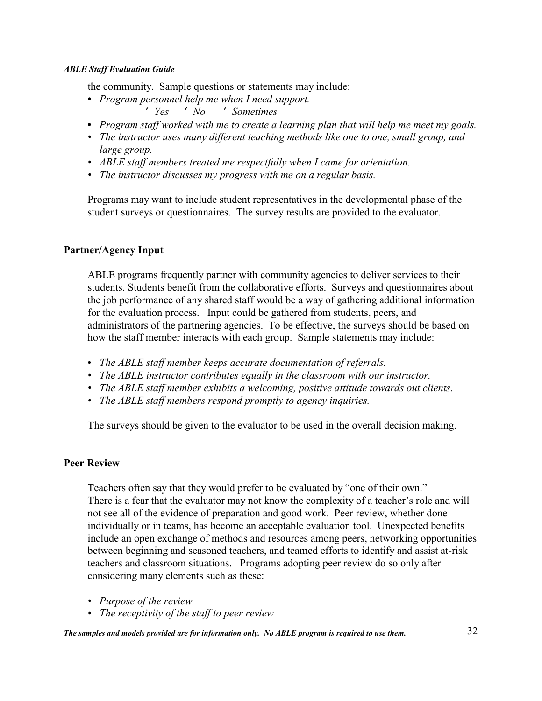the community.Sample questions or statements may include:

- **•** *Program personnel help me when I need support.* ' *Yes* ' *No* ' *Sometimes*
- **•** *Program staff worked with me to create a learning plan that will help me meet my goals.*
- *The instructor uses many different teaching methods like one to one, small group, and large group.*
- *ABLE staff members treated me respectfully when I came for orientation.*
- *The instructor discusses my progress with me on a regular basis.*

Programs may want to include student representatives in the developmental phase of the student surveys or questionnaires. The survey results are provided to the evaluator.

#### **Partner/Agency Input**

ABLE programs frequently partner with community agencies to deliver services to their students. Students benefit from the collaborative efforts. Surveys and questionnaires about the job performance of any shared staff would be a way of gathering additional information for the evaluation process. Input could be gathered from students, peers, and administrators of the partnering agencies. To be effective, the surveys should be based on how the staff member interacts with each group. Sample statements may include:

- *The ABLE staff member keeps accurate documentation of referrals.*
- *The ABLE instructor contributes equally in the classroom with our instructor.*
- *The ABLE staff member exhibits a welcoming, positive attitude towards out clients.*
- *The ABLE staff members respond promptly to agency inquiries.*

The surveys should be given to the evaluator to be used in the overall decision making.

#### **Peer Review**

Teachers often say that they would prefer to be evaluated by "one of their own." There is a fear that the evaluator may not know the complexity of a teacher's role and will not see all of the evidence of preparation and good work. Peer review, whether done individually or in teams, has become an acceptable evaluation tool. Unexpected benefits include an open exchange of methods and resources among peers, networking opportunities between beginning and seasoned teachers, and teamed efforts to identify and assist at-risk teachers and classroom situations. Programs adopting peer review do so only after considering many elements such as these:

- *Purpose of the review*
- *The receptivity of the staff to peer review*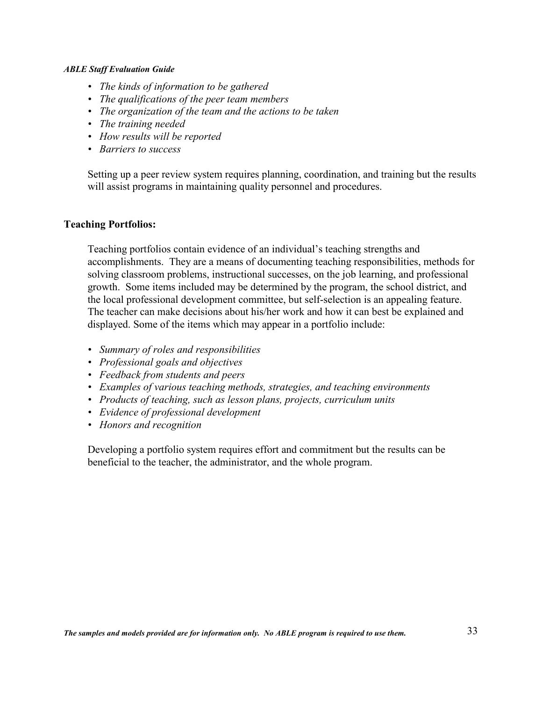- *The kinds of information to be gathered*
- *The qualifications of the peer team members*
- *The organization of the team and the actions to be taken*
- *The training needed*
- *How results will be reported*
- *Barriers to success*

Setting up a peer review system requires planning, coordination, and training but the results will assist programs in maintaining quality personnel and procedures.

#### **Teaching Portfolios:**

Teaching portfolios contain evidence of an individual's teaching strengths and accomplishments. They are a means of documenting teaching responsibilities, methods for solving classroom problems, instructional successes, on the job learning, and professional growth. Some items included may be determined by the program, the school district, and the local professional development committee, but self-selection is an appealing feature. The teacher can make decisions about his/her work and how it can best be explained and displayed. Some of the items which may appear in a portfolio include:

- *Summary of roles and responsibilities*
- *Professional goals and objectives*
- *Feedback from students and peers*
- *Examples of various teaching methods, strategies, and teaching environments*
- *Products of teaching, such as lesson plans, projects, curriculum units*
- *Evidence of professional development*
- *Honors and recognition*

Developing a portfolio system requires effort and commitment but the results can be beneficial to the teacher, the administrator, and the whole program.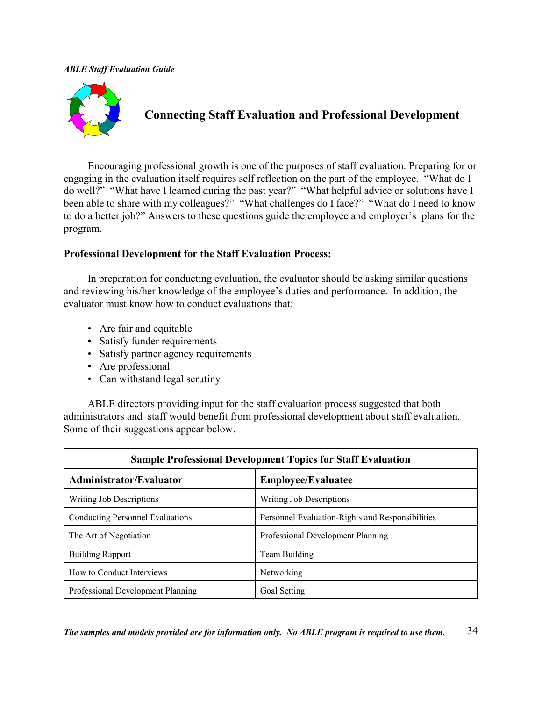

### **Connecting Staff Evaluation and Professional Development**

Encouraging professional growth is one of the purposes of staff evaluation. Preparing for or engaging in the evaluation itself requires self reflection on the part of the employee. "What do I do well?" "What have I learned during the past year?" "What helpful advice or solutions have I been able to share with my colleagues?" "What challenges do I face?" "What do I need to know to do a better job?" Answers to these questions guide the employee and employer's plans for the program.

#### **Professional Development for the Staff Evaluation Process:**

In preparation for conducting evaluation, the evaluator should be asking similar questions and reviewing his/her knowledge of the employee's duties and performance. In addition, the evaluator must know how to conduct evaluations that:

- Are fair and equitable
- Satisfy funder requirements
- Satisfy partner agency requirements
- Are professional
- Can withstand legal scrutiny

ABLE directors providing input for the staff evaluation process suggested that both administrators and staff would benefit from professional development about staff evaluation. Some of their suggestions appear below.

| <b>Sample Professional Development Topics for Staff Evaluation</b> |                                                  |  |  |  |
|--------------------------------------------------------------------|--------------------------------------------------|--|--|--|
| <b>Administrator/Evaluator</b>                                     | <b>Employee/Evaluatee</b>                        |  |  |  |
| Writing Job Descriptions                                           | Writing Job Descriptions                         |  |  |  |
| <b>Conducting Personnel Evaluations</b>                            | Personnel Evaluation-Rights and Responsibilities |  |  |  |
| The Art of Negotiation                                             | Professional Development Planning                |  |  |  |
| <b>Building Rapport</b>                                            | Team Building                                    |  |  |  |
| How to Conduct Interviews                                          | Networking                                       |  |  |  |
| Professional Development Planning                                  | Goal Setting                                     |  |  |  |

*The samples and models provided are for information only. No ABLE program is required to use them.* 34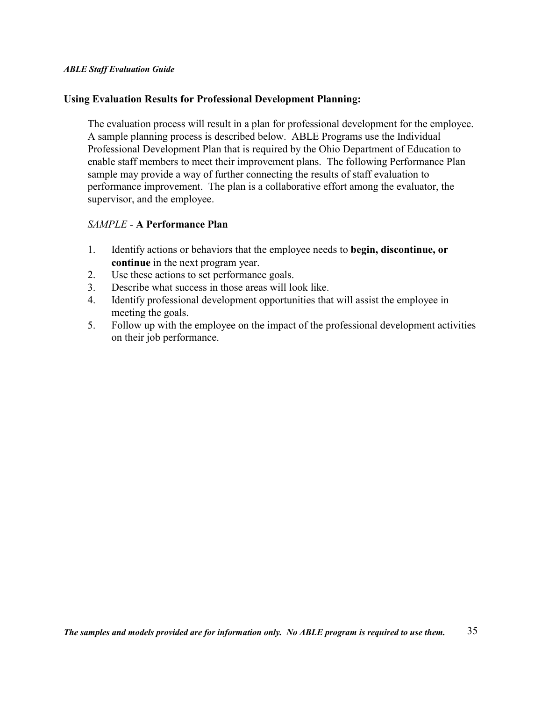#### **Using Evaluation Results for Professional Development Planning:**

The evaluation process will result in a plan for professional development for the employee. A sample planning process is described below. ABLE Programs use the Individual Professional Development Plan that is required by the Ohio Department of Education to enable staff members to meet their improvement plans. The following Performance Plan sample may provide a way of further connecting the results of staff evaluation to performance improvement. The plan is a collaborative effort among the evaluator, the supervisor, and the employee.

#### *SAMPLE* - **A Performance Plan**

- 1. Identify actions or behaviors that the employee needs to **begin, discontinue, or continue** in the next program year.
- 2. Use these actions to set performance goals.
- 3. Describe what success in those areas will look like.
- 4. Identify professional development opportunities that will assist the employee in meeting the goals.
- 5. Follow up with the employee on the impact of the professional development activities on their job performance.